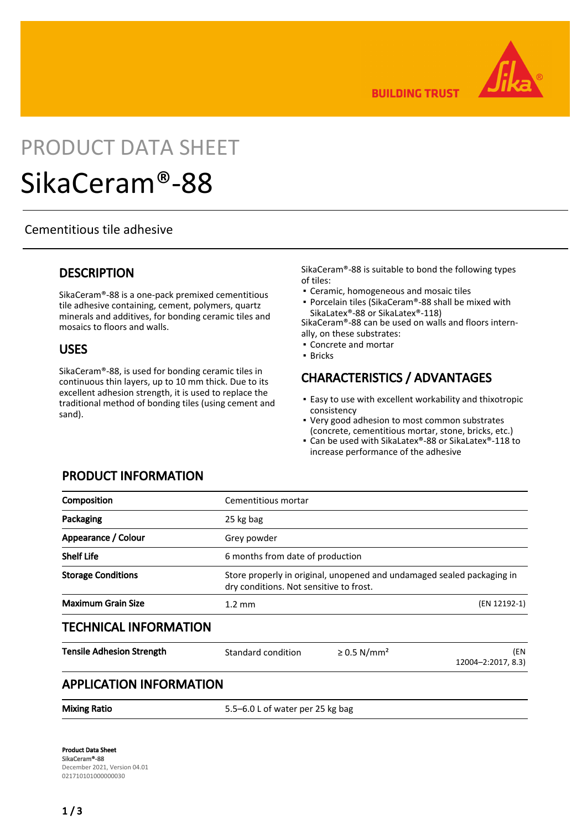

**BUILDING TRUST** 

# PRODUCT DATA SHEET

# SikaCeram®-88

#### Cementitious tile adhesive

#### **DESCRIPTION**

SikaCeram®-88 is a one-pack premixed cementitious tile adhesive containing, cement, polymers, quartz minerals and additives, for bonding ceramic tiles and mosaics to floors and walls.

#### USES

SikaCeram®-88, is used for bonding ceramic tiles in continuous thin layers, up to 10 mm thick. Due to its excellent adhesion strength, it is used to replace the traditional method of bonding tiles (using cement and sand).

SikaCeram®-88 is suitable to bond the following types of tiles:

- Ceramic, homogeneous and mosaic tiles
- Porcelain tiles (SikaCeram®-88 shall be mixed with SikaLatex®-88 or SikaLatex®-118)

SikaCeram®-88 can be used on walls and floors internally, on these substrates:

- Concrete and mortar
- Bricks

## CHARACTERISTICS / ADVANTAGES

- Easy to use with excellent workability and thixotropic consistency
- Very good adhesion to most common substrates (concrete, cementitious mortar, stone, bricks, etc.)
- Can be used with SikaLatex®-88 or SikaLatex®-118 to increase performance of the adhesive

| Cementitious mortar          |                                                                                                                   |                           |  |
|------------------------------|-------------------------------------------------------------------------------------------------------------------|---------------------------|--|
| 25 kg bag                    |                                                                                                                   |                           |  |
| Grey powder                  |                                                                                                                   |                           |  |
|                              | 6 months from date of production                                                                                  |                           |  |
|                              | Store properly in original, unopened and undamaged sealed packaging in<br>dry conditions. Not sensitive to frost. |                           |  |
| $1.2 \text{ mm}$             |                                                                                                                   | (EN 12192-1)              |  |
| <b>TECHNICAL INFORMATION</b> |                                                                                                                   |                           |  |
| Standard condition           | $\geq$ 0.5 N/mm <sup>2</sup>                                                                                      | (EN<br>12004-2:2017, 8.3) |  |
|                              |                                                                                                                   |                           |  |

#### PRODUCT INFORMATION

Mixing Ratio 5.5–6.0 L of water per 25 kg bag

Product Data Sheet SikaCeram®-88 December 2021, Version 04.01 021710101000000030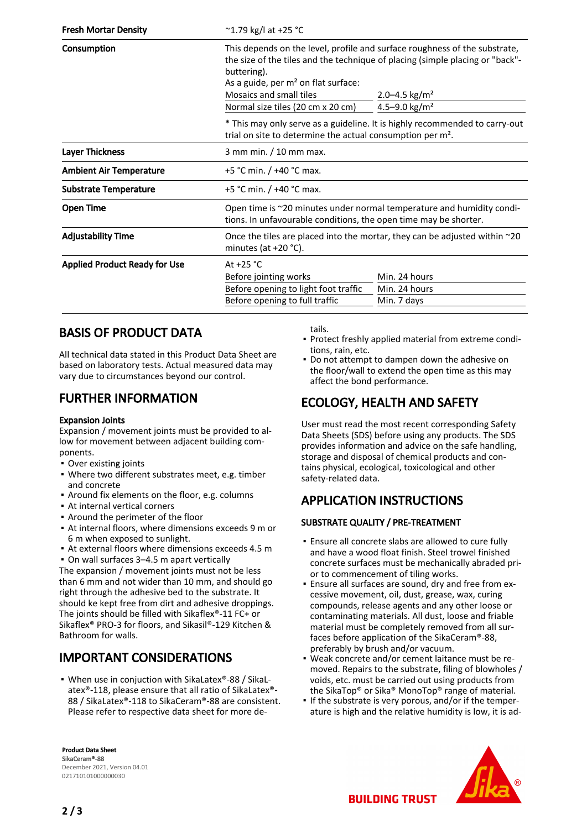| <b>Fresh Mortar Density</b>          | $^{\circ}$ 1.79 kg/l at +25 °C                                                                                                                                                                                                                                              |                         |  |
|--------------------------------------|-----------------------------------------------------------------------------------------------------------------------------------------------------------------------------------------------------------------------------------------------------------------------------|-------------------------|--|
| Consumption                          | This depends on the level, profile and surface roughness of the substrate,<br>the size of the tiles and the technique of placing (simple placing or "back"-<br>buttering).<br>As a guide, per $m2$ on flat surface:<br>Mosaics and small tiles<br>2.0–4.5 kg/m <sup>2</sup> |                         |  |
|                                      | Normal size tiles (20 cm x 20 cm)                                                                                                                                                                                                                                           | 4.5-9.0 $\text{kg/m}^2$ |  |
|                                      | * This may only serve as a guideline. It is highly recommended to carry-out<br>trial on site to determine the actual consumption per m <sup>2</sup> .                                                                                                                       |                         |  |
| <b>Layer Thickness</b>               | 3 mm min. / 10 mm max.                                                                                                                                                                                                                                                      |                         |  |
| <b>Ambient Air Temperature</b>       | +5 °C min. $/$ +40 °C max.                                                                                                                                                                                                                                                  |                         |  |
| <b>Substrate Temperature</b>         | +5 °C min. $/$ +40 °C max.                                                                                                                                                                                                                                                  |                         |  |
| <b>Open Time</b>                     | Open time is ~20 minutes under normal temperature and humidity condi-<br>tions. In unfavourable conditions, the open time may be shorter.                                                                                                                                   |                         |  |
| <b>Adjustability Time</b>            | Once the tiles are placed into the mortar, they can be adjusted within $\sim$ 20<br>minutes (at $+20$ °C).                                                                                                                                                                  |                         |  |
| <b>Applied Product Ready for Use</b> | At $+25$ °C                                                                                                                                                                                                                                                                 |                         |  |
|                                      | Before jointing works                                                                                                                                                                                                                                                       | Min. 24 hours           |  |
|                                      | Before opening to light foot traffic                                                                                                                                                                                                                                        | Min. 24 hours           |  |
|                                      | Before opening to full traffic                                                                                                                                                                                                                                              | Min. 7 days             |  |

# BASIS OF PRODUCT DATA

All technical data stated in this Product Data Sheet are based on laboratory tests. Actual measured data may vary due to circumstances beyond our control.

# FURTHER INFORMATION

#### Expansion Joints

Expansion / movement joints must be provided to allow for movement between adjacent building components.

- Over existing joints
- Where two different substrates meet, e.g. timber and concrete
- Around fix elements on the floor, e.g. columns
- At internal vertical corners
- Around the perimeter of the floor
- At internal floors, where dimensions exceeds 9 m or 6 m when exposed to sunlight.
- At external floors where dimensions exceeds 4.5 m
- On wall surfaces 3–4.5 m apart vertically

The expansion / movement joints must not be less than 6 mm and not wider than 10 mm, and should go right through the adhesive bed to the substrate. It should ke kept free from dirt and adhesive droppings. The joints should be filled with Sikaflex®-11 FC+ or Sikaflex® PRO-3 for floors, and Sikasil®-129 Kitchen & Bathroom for walls.

# IMPORTANT CONSIDERATIONS

■ When use in conjuction with SikaLatex®-88 / SikaLatex®-118, please ensure that all ratio of SikaLatex®- 88 / SikaLatex®-118 to SikaCeram®-88 are consistent. Please refer to respective data sheet for more de-

Product Data Sheet SikaCeram®-88 December 2021, Version 04.01 021710101000000030

tails.

- Protect freshly applied material from extreme conditions, rain, etc.
- Do not attempt to dampen down the adhesive on the floor/wall to extend the open time as this may affect the bond performance.

## ECOLOGY, HEALTH AND SAFETY

User must read the most recent corresponding Safety Data Sheets (SDS) before using any products. The SDS provides information and advice on the safe handling, storage and disposal of chemical products and contains physical, ecological, toxicological and other safety-related data.

# APPLICATION INSTRUCTIONS

#### SUBSTRATE QUALITY / PRE-TREATMENT

- **Ensure all concrete slabs are allowed to cure fully** and have a wood float finish. Steel trowel finished concrete surfaces must be mechanically abraded prior to commencement of tiling works.
- Ensure all surfaces are sound, dry and free from ex-▪ cessive movement, oil, dust, grease, wax, curing compounds, release agents and any other loose or contaminating materials. All dust, loose and friable material must be completely removed from all surfaces before application of the SikaCeram®-88, preferably by brush and/or vacuum.
- Weak concrete and/or cement laitance must be re-▪ moved. Repairs to the substrate, filing of blowholes / voids, etc. must be carried out using products from the SikaTop® or Sika® MonoTop® range of material.
- If the substrate is very porous, and/or if the temperature is high and the relative humidity is low, it is ad-



**BUILDING TRUST**